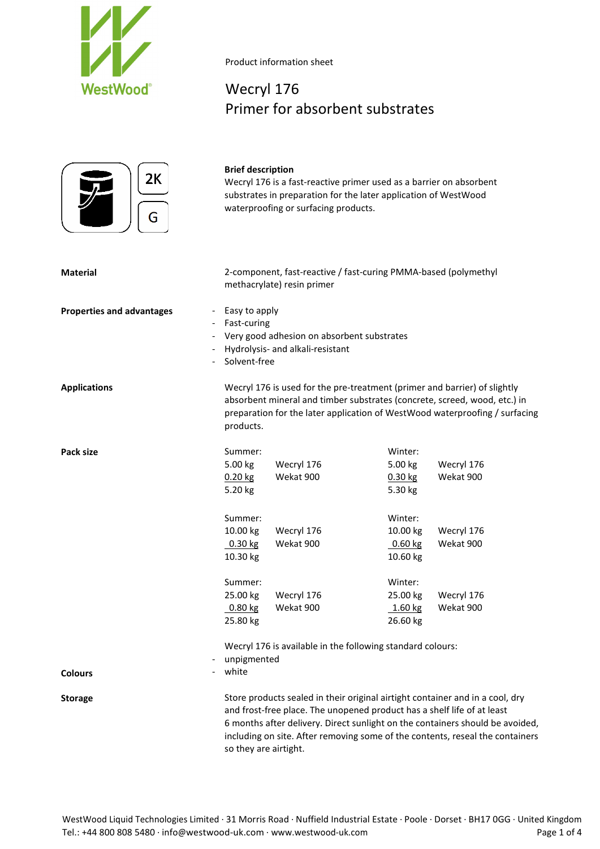

# Wecryl 176 Primer for absorbent substrates



#### **Brief description**

Wecryl 176 is a fast-reactive primer used as a barrier on absorbent substrates in preparation for the later application of WestWood waterproofing or surfacing products.

| Material | 2-component, fast-reactive / fast-curing PMMA-based (polymethyl |
|----------|-----------------------------------------------------------------|
|          | methacrylate) resin primer                                      |

- **Properties and advantages Easy to apply** 
	- Fast-curing
	- Very good adhesion on absorbent substrates
	- Hydrolysis- and alkali-resistant
	- Solvent-free

**Applications** Wecryl 176 is used for the pre-treatment (primer and barrier) of slightly absorbent mineral and timber substrates (concrete, screed, wood, etc.) in preparation for the later application of WestWood waterproofing / surfacing products.

| Pack size | Summer:   |            | Winter:   |            |
|-----------|-----------|------------|-----------|------------|
|           | 5.00 kg   | Wecryl 176 | 5.00 kg   | Wecryl 176 |
|           | $0.20$ kg | Wekat 900  | $0.30$ kg | Wekat 900  |
|           | 5.20 kg   |            | 5.30 kg   |            |
|           | Summer:   |            | Winter:   |            |
|           | 10.00 kg  | Wecryl 176 | 10.00 kg  | Wecryl 176 |
|           | $0.30$ kg | Wekat 900  | $0.60$ kg | Wekat 900  |
|           | 10.30 kg  |            | 10.60 kg  |            |
|           | Summer:   |            | Winter:   |            |
|           | 25.00 kg  | Wecryl 176 | 25.00 kg  | Wecryl 176 |
|           | $0.80$ kg | Wekat 900  | $1.60$ kg | Wekat 900  |
|           | 25.80 kg  |            | 26.60 kg  |            |

Wecryl 176 is available in the following standard colours:

- unpigmented

white

**Colours**

Storage Store products sealed in their original airtight container and in a cool, dry and frost-free place. The unopened product has a shelf life of at least 6 months after delivery. Direct sunlight on the containers should be avoided, including on site. After removing some of the contents, reseal the containers so they are airtight.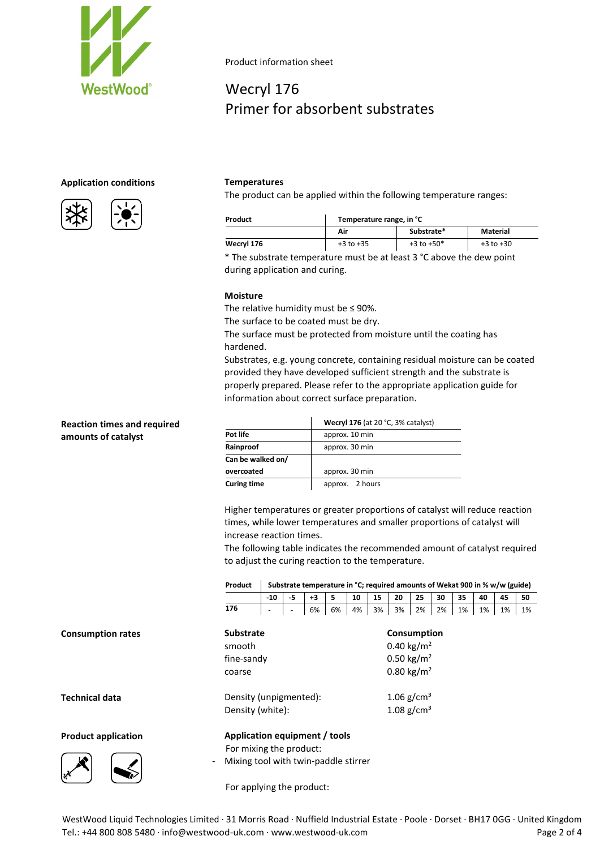

# Wecryl 176 Primer for absorbent substrates

# **Application conditions Temperatures**



The product can be applied within the following temperature ranges:

| Product    | Temperature range, in °C |                |               |  |  |  |  |
|------------|--------------------------|----------------|---------------|--|--|--|--|
|            | Air                      | Substrate*     | Material      |  |  |  |  |
| Wecryl 176 | $+3$ to $+35$            | $+3$ to $+50*$ | $+3$ to $+30$ |  |  |  |  |

\* The substrate temperature must be at least 3 °C above the dew point during application and curing.

## **Moisture**

The relative humidity must be ≤ 90%.

The surface to be coated must be dry.

The surface must be protected from moisture until the coating has hardened.

Substrates, e.g. young concrete, containing residual moisture can be coated provided they have developed sufficient strength and the substrate is properly prepared. Please refer to the appropriate application guide for information about correct surface preparation.

# **Reaction times and required amounts of catalyst**

**Consumption rates** 

**Technical data** 

**Product application** 

Higher temperatures or greater proportions of catalyst will reduce reaction times, while lower temperatures and smaller proportions of catalyst will increase reaction times.

The following table indicates the recommended amount of catalyst required to adjust the curing reaction to the temperature.

| Product                              | Substrate temperature in °C; required amounts of Wekat 900 in % w/w (guide) |    |      |    |    |                        |                        |    |    |    |    |    |    |
|--------------------------------------|-----------------------------------------------------------------------------|----|------|----|----|------------------------|------------------------|----|----|----|----|----|----|
|                                      | $-10$                                                                       | -5 | $+3$ | 5  | 10 | 15                     | 20                     | 25 | 30 | 35 | 40 | 45 | 50 |
| 176                                  |                                                                             |    | 6%   | 6% | 4% | 3%                     | 3%                     | 2% | 2% | 1% | 1% | 1% | 1% |
| <b>Substrate</b>                     |                                                                             |    |      |    |    |                        | Consumption            |    |    |    |    |    |    |
| smooth                               |                                                                             |    |      |    |    | 0.40 kg/m <sup>2</sup> |                        |    |    |    |    |    |    |
| fine-sandy                           |                                                                             |    |      |    |    |                        | 0.50 kg/m <sup>2</sup> |    |    |    |    |    |    |
| coarse                               |                                                                             |    |      |    |    |                        | 0.80 kg/m <sup>2</sup> |    |    |    |    |    |    |
|                                      |                                                                             |    |      |    |    |                        | 1.06 $g/cm^{3}$        |    |    |    |    |    |    |
| Density (white):                     | Density (unpigmented):                                                      |    |      |    |    |                        | 1.08 $g/cm^{3}$        |    |    |    |    |    |    |
| Application equipment / tools        |                                                                             |    |      |    |    |                        |                        |    |    |    |    |    |    |
| For mixing the product:              |                                                                             |    |      |    |    |                        |                        |    |    |    |    |    |    |
| Mixing tool with twin-paddle stirrer |                                                                             |    |      |    |    |                        |                        |    |    |    |    |    |    |

For applying the product:

WestWood Liquid Technologies Limited · 31 Morris Road · Nuffield Industrial Estate · Poole · Dorset · BH17 0GG · United Kingdom Tel.: +44 800 808 5480 · info@westwood-uk.com · www.westwood-uk.com example are example as a page 2 of 4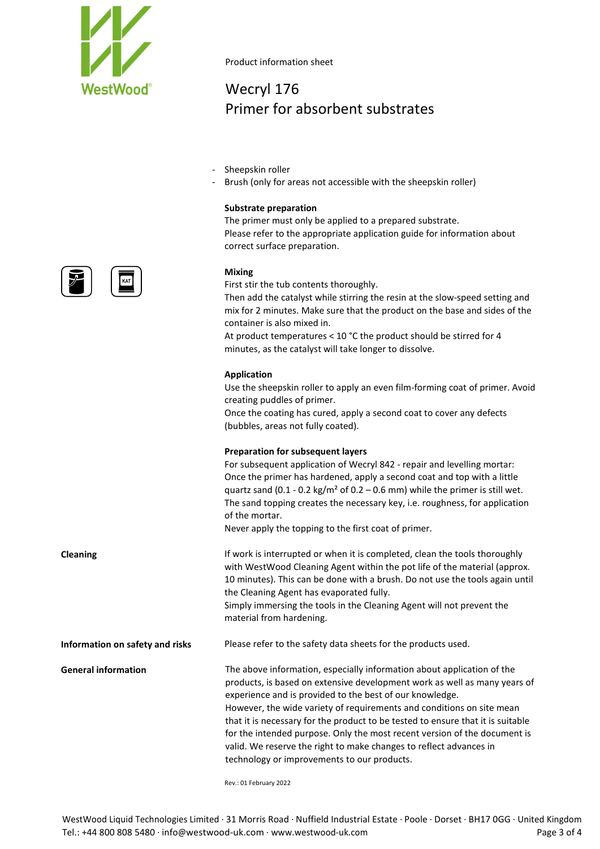

# Wecryl 176 Primer for absorbent substrates

- Sheepskin roller
- Brush (only for areas not accessible with the sheepskin roller)

## **Substrate preparation**

The primer must only be applied to a prepared substrate. Please refer to the appropriate application guide for information about correct surface preparation.

### **Mixing**

First stir the tub contents thoroughly.

Then add the catalyst while stirring the resin at the slow-speed setting and mix for 2 minutes. Make sure that the product on the base and sides of the container is also mixed in.

At product temperatures < 10 °C the product should be stirred for 4 minutes, as the catalyst will take longer to dissolve.

### **Application**

Use the sheepskin roller to apply an even film-forming coat of primer. Avoid creating puddles of primer.

Once the coating has cured, apply a second coat to cover any defects (bubbles, areas not fully coated).

### **Preparation for subsequent layers**

For subsequent application of Wecryl 842 - repair and levelling mortar: Once the primer has hardened, apply a second coat and top with a little quartz sand (0.1 - 0.2 kg/m<sup>2</sup> of 0.2 – 0.6 mm) while the primer is still wet. The sand topping creates the necessary key, i.e. roughness, for application of the mortar.

Never apply the topping to the first coat of primer.

the Cleaning Agent has evaporated fully.

**Cleaning If work is interrupted or when it is completed, clean the tools thoroughly** 

Simply immersing the tools in the Cleaning Agent will not prevent the material from hardening. **Information on safety and risks** Please refer to the safety data sheets for the products used. **General information** The above information, especially information about application of the products, is based on extensive development work as well as many years of

with WestWood Cleaning Agent within the pot life of the material (approx. 10 minutes). This can be done with a brush. Do not use the tools again until

experience and is provided to the best of our knowledge. However, the wide variety of requirements and conditions on site mean that it is necessary for the product to be tested to ensure that it is suitable for the intended purpose. Only the most recent version of the document is valid. We reserve the right to make changes to reflect advances in technology or improvements to our products.

Rev.: 01 February 2022